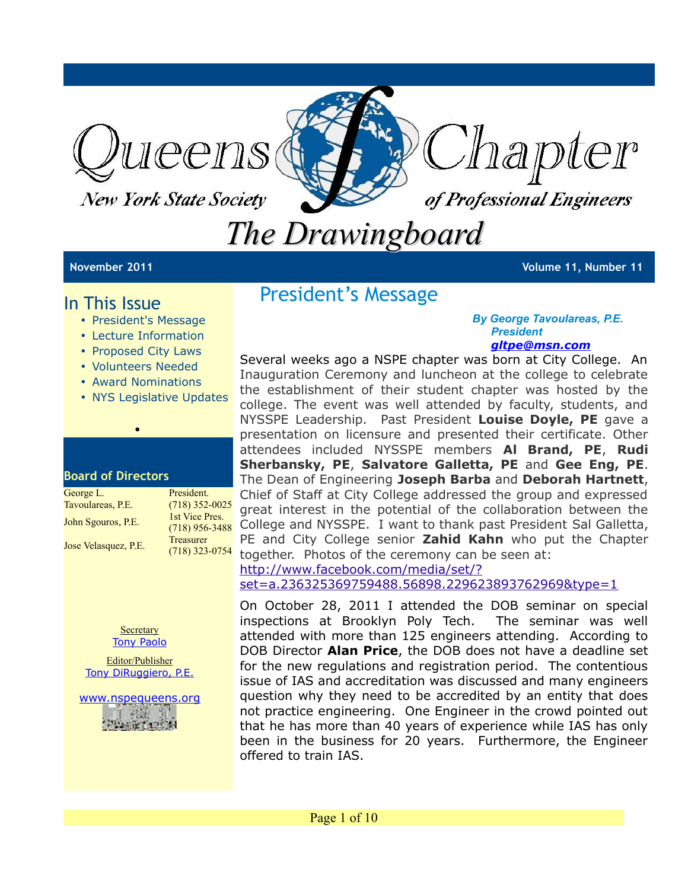

**New York State Society** 



# *The Drawingboard*

**November 2011 Volume 11, Number 11**

## In This Issue

- President's Message
- Lecture Information
- Proposed City Laws
- Volunteers Needed
- Award Nominations

•

• NYS Legislative Updates

#### **Board of Directors**

| George L.            | President.       |
|----------------------|------------------|
| Tavoulareas, P.E.    | $(718)$ 352-0025 |
| John Sgouros, P.E.   | 1st Vice Pres.   |
|                      | $(718)$ 956-3488 |
| Jose Velasquez, P.E. | <b>Treasurer</b> |
|                      | $(718)$ 323-0754 |



Editor/Publisher [Tony DiRuggiero, P.E.](mailto:avd706@aol.com?subject=FEEDBACK:APRIL%20)

[www.nspequeens.org](http://www.nspequeens.org/)

## President's Message

#### *By George Tavoulareas, P.E. President [gltpe@msn.com](mailto:gltpe@msn.com)*

 $\frac{120}{(718)956-3488}$  College and NYSSPE. I want to thank past President Sal Galletta,  $\frac{(718)323-0754}{2}$  together. Photos of the ceremony can be seen at: Several weeks ago a NSPE chapter was born at City College. An Inauguration Ceremony and luncheon at the college to celebrate the establishment of their student chapter was hosted by the college. The event was well attended by faculty, students, and NYSSPE Leadership. Past President **Louise Doyle, PE** gave a presentation on licensure and presented their certificate. Other attendees included NYSSPE members **Al Brand, PE**, **Rudi Sherbansky, PE**, **Salvatore Galletta, PE** and **Gee Eng, PE**. The Dean of Engineering **Joseph Barba** and **Deborah Hartnett**, Chief of Staff at City College addressed the group and expressed great interest in the potential of the collaboration between the PE and City College senior **Zahid Kahn** who put the Chapter [http://www.facebook.com/media/set/?](http://www.facebook.com/media/set/?set=a.236325369759488.56898.229623893762969&type=1)

[set=a.236325369759488.56898.229623893762969&type=1](http://www.facebook.com/media/set/?set=a.236325369759488.56898.229623893762969&type=1)

On October 28, 2011 I attended the DOB seminar on special inspections at Brooklyn Poly Tech. The seminar was well attended with more than 125 engineers attending. According to DOB Director **Alan Price**, the DOB does not have a deadline set for the new regulations and registration period. The contentious issue of IAS and accreditation was discussed and many engineers question why they need to be accredited by an entity that does not practice engineering. One Engineer in the crowd pointed out that he has more than 40 years of experience while IAS has only been in the business for 20 years. Furthermore, the Engineer offered to train IAS.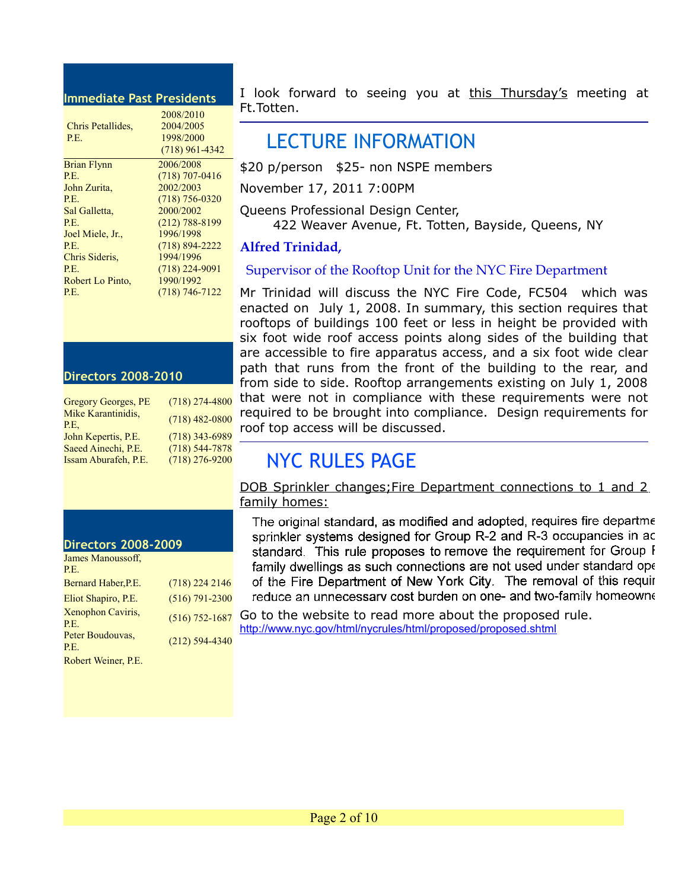#### **Immediate Past Presidents**

|                    | 2008/2010          |
|--------------------|--------------------|
| Chris Petallides.  | 2004/2005          |
| P.E.               | 1998/2000          |
|                    | $(718)$ 961-4342   |
| <b>Brian Flynn</b> | 2006/2008          |
| P.E.               | $(718)$ 707-0416   |
| John Zurita,       | 2002/2003          |
| P.E.               | $(718)$ 756-0320   |
| Sal Galletta,      | 2000/2002          |
| P.E.               | $(212) 788 - 8199$ |
| Joel Miele, Jr.,   | 1996/1998          |
| P.E.               | $(718) 894 - 2222$ |
| Chris Sideris.     | 1994/1996          |
| P.E.               | $(718)$ 224-9091   |
| Robert Lo Pinto.   | 1990/1992          |
| P.E.               | (718) 746-7122     |
|                    |                    |

#### **Directors 2008-2010**

| <b>Gregory Georges, PE</b> | $(718)$ 274-4800   |
|----------------------------|--------------------|
| Mike Karantinidis,         | $(718)$ 482-0800   |
| P.E.                       |                    |
| John Kepertis, P.E.        | $(718)$ 343-6989   |
| Saeed Ainechi, P.E.        | $(718) 544 - 7878$ |
| Issam Aburafeh, P.E.       | $(718)$ 276-9200   |

#### **Directors 2008-2009**

| James Manoussoff,<br>P.E. |                    |
|---------------------------|--------------------|
| Bernard Haber, P.E.       | $(718)$ 224 2146   |
| Eliot Shapiro, P.E.       | $(516) 791 - 2300$ |
| Xenophon Caviris,<br>P.E. | $(516) 752 - 1687$ |
| Peter Boudouvas,<br>P.E.  | $(212)$ 594-4340   |
|                           |                    |

Robert Weiner, P.E.

I look forward to seeing you at this Thursday's meeting at Ft.Totten.

## LECTURE INFORMATION

\$20 p/person \$25- non NSPE members

November 17, 2011 7:00PM

Queens Professional Design Center,

422 Weaver Avenue, Ft. Totten, Bayside, Queens, NY

#### **Alfred Trinidad,**

#### Supervisor of the Rooftop Unit for the NYC Fire Department

Mr Trinidad will discuss the NYC Fire Code, FC504 which was enacted on July 1, 2008. In summary, this section requires that rooftops of buildings 100 feet or less in height be provided with six foot wide roof access points along sides of the building that are accessible to fire apparatus access, and a six foot wide clear path that runs from the front of the building to the rear, and from side to side. Rooftop arrangements existing on July 1, 2008 that were not in compliance with these requirements were not required to be brought into compliance. Design requirements for roof top access will be discussed.

## NYC RULES PAGE

DOB Sprinkler changes; Fire Department connections to 1 and 2 family homes:

The original standard, as modified and adopted, requires fire departme sprinkler systems designed for Group R-2 and R-3 occupancies in ac standard. This rule proposes to remove the requirement for Group I family dwellings as such connections are not used under standard ope of the Fire Department of New York City. The removal of this requir reduce an unnecessary cost burden on one- and two-family homeowne

Go to the website to read more about the proposed rule. <http://www.nyc.gov/html/nycrules/html/proposed/proposed.shtml>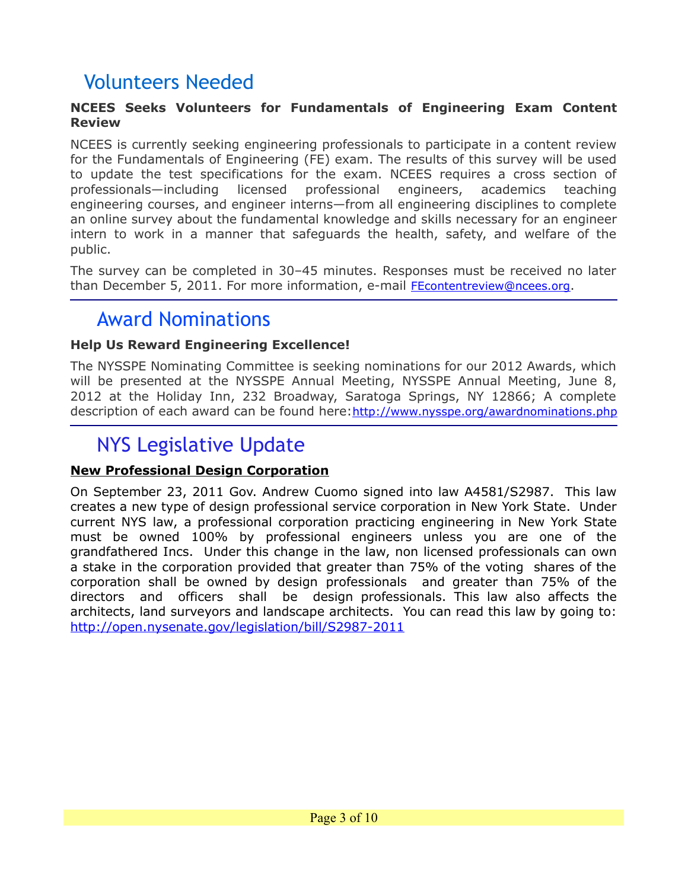## Volunteers Needed

#### **NCEES Seeks Volunteers for Fundamentals of Engineering Exam Content Review**

NCEES is currently seeking engineering professionals to participate in a content review for the Fundamentals of Engineering (FE) exam. The results of this survey will be used to update the test specifications for the exam. NCEES requires a cross section of professionals—including licensed professional engineers, academics teaching engineering courses, and engineer interns—from all engineering disciplines to complete an online survey about the fundamental knowledge and skills necessary for an engineer intern to work in a manner that safeguards the health, safety, and welfare of the public.

The survey can be completed in 30–45 minutes. Responses must be received no later than December 5, 2011. For more information, e-mail **[FEcontentreview@ncees.org](mailto:FEcontentreview@ncees.org)**.

## Award Nominations

#### **Help Us Reward Engineering Excellence!**

The NYSSPE Nominating Committee is seeking nominations for our 2012 Awards, which will be presented at the NYSSPE Annual Meeting, NYSSPE Annual Meeting, June 8, 2012 at the Holiday Inn, 232 Broadway, Saratoga Springs, NY 12866; A complete description of each award can be found here:<http://www.nysspe.org/awardnominations.php>

## NYS Legislative Update

### **New Professional Design Corporation**

On September 23, 2011 Gov. Andrew Cuomo signed into law A4581/S2987. This law creates a new type of design professional service corporation in New York State. Under current NYS law, a professional corporation practicing engineering in New York State must be owned 100% by professional engineers unless you are one of the grandfathered Incs. Under this change in the law, non licensed professionals can own a stake in the corporation provided that greater than 75% of the voting shares of the corporation shall be owned by design professionals and greater than 75% of the directors and officers shall be design professionals. This law also affects the architects, land surveyors and landscape architects. You can read this law by going to: <http://open.nysenate.gov/legislation/bill/S2987-2011>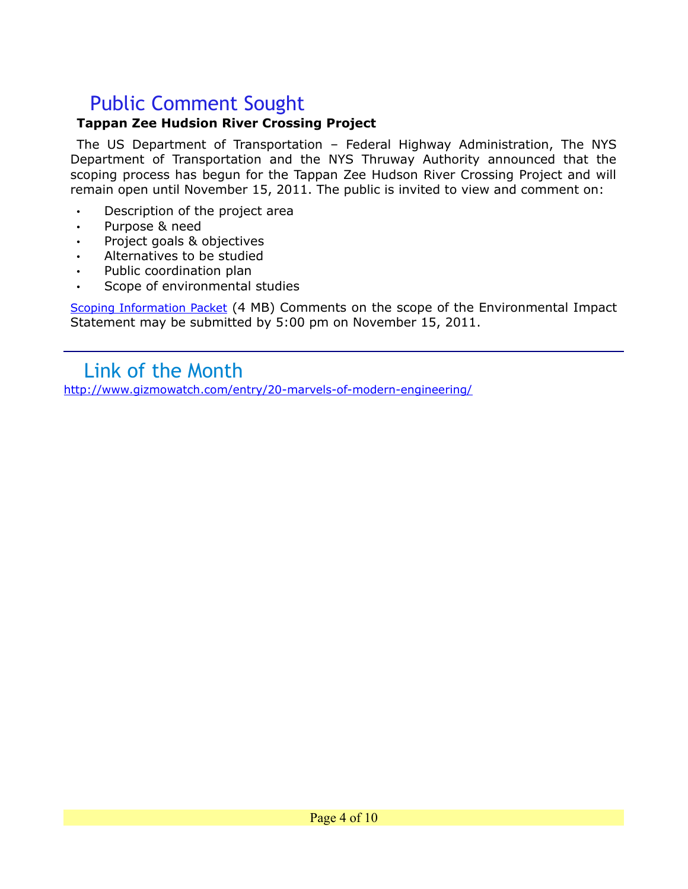## Public Comment Sought

#### **Tappan Zee Hudsion River Crossing Project**

The US Department of Transportation – Federal Highway Administration, The NYS Department of Transportation and the NYS Thruway Authority announced that the scoping process has begun for the Tappan Zee Hudson River Crossing Project and will remain open until November 15, 2011. The public is invited to view and comment on:

- Description of the project area
- Purpose & need
- Project goals & objectives
- Alternatives to be studied
- Public coordination plan
- Scope of environmental studies

[Scoping Information Packet](http://www.tzbsite.com/pdf-library/2011-10-13%20Scoping%20Information%20Packet.pdf) (4 MB) Comments on the scope of the Environmental Impact Statement may be submitted by 5:00 pm on November 15, 2011.

## Link of the Month

<http://www.gizmowatch.com/entry/20-marvels-of-modern-engineering/>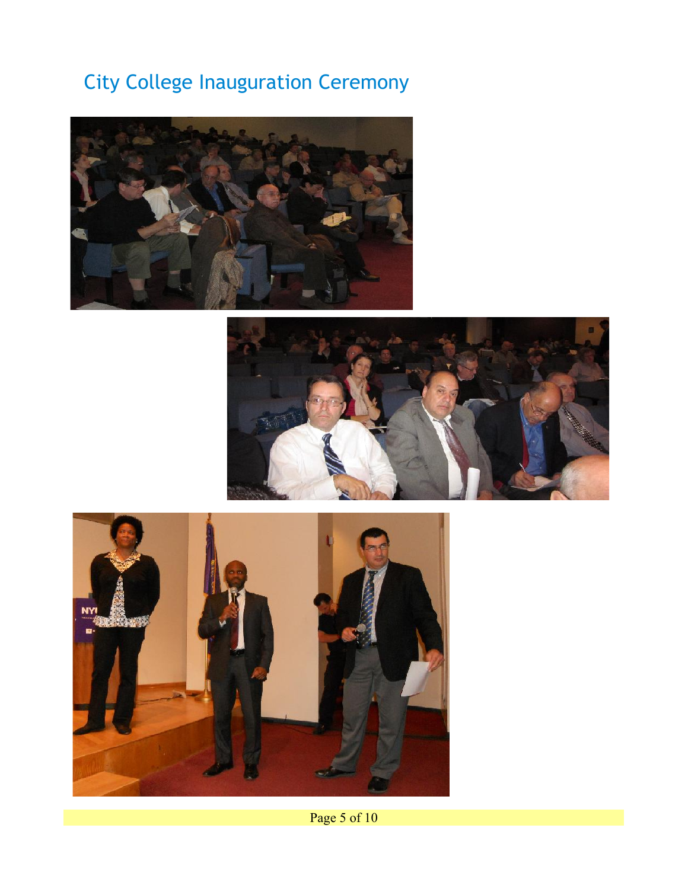## City College Inauguration Ceremony







Page 5 of 10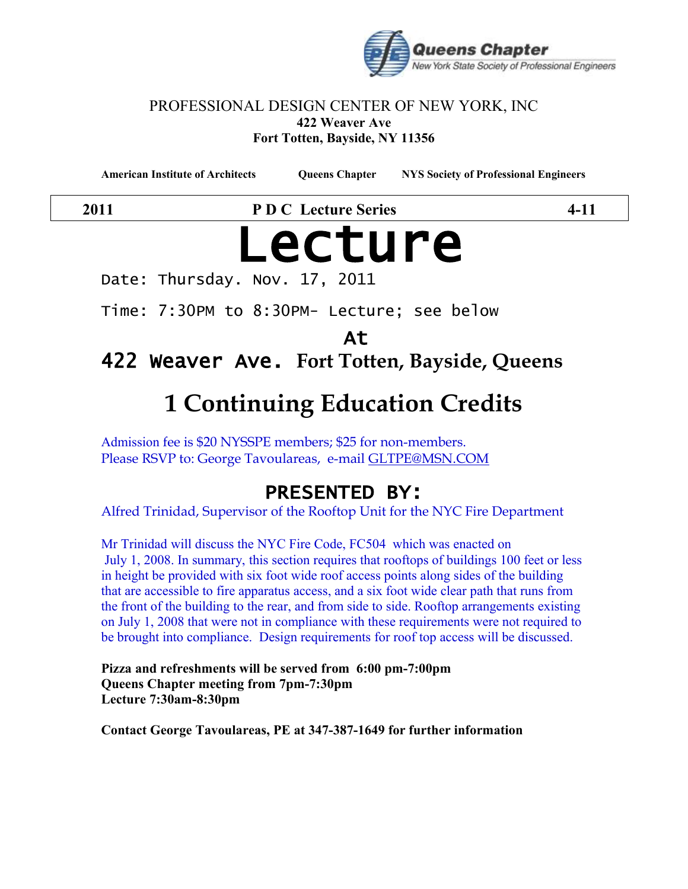

#### PROFESSIONAL DESIGN CENTER OF NEW YORK, INC **422 Weaver Ave Fort Totten, Bayside, NY 11356**

**American Institute of Architects Queens Chapter NYS Society of Professional Engineers**

**2011 P D C Lecture Series 4-11**

# Lecture

Date: Thursday. Nov. 17, 2011

Time: 7:30PM to 8:30PM- Lecture; see below

At

422 Weaver Ave. **Fort Totten, Bayside, Queens**

# **1 Continuing Education Credits**

Admission fee is \$20 NYSSPE members; \$25 for non-members. Please RSVP to: George Tavoulareas, e-mail [GLTPE@MSN.COM](mailto:GLTPE@MSN.COM)

## PRESENTED BY:

Alfred Trinidad, Supervisor of the Rooftop Unit for the NYC Fire Department

Mr Trinidad will discuss the NYC Fire Code, FC504 which was enacted on July 1, 2008. In summary, this section requires that rooftops of buildings 100 feet or less in height be provided with six foot wide roof access points along sides of the building that are accessible to fire apparatus access, and a six foot wide clear path that runs from the front of the building to the rear, and from side to side. Rooftop arrangements existing on July 1, 2008 that were not in compliance with these requirements were not required to be brought into compliance. Design requirements for roof top access will be discussed.

**Pizza and refreshments will be served from 6:00 pm-7:00pm Queens Chapter meeting from 7pm-7:30pm Lecture 7:30am-8:30pm**

**Contact George Tavoulareas, PE at 347-387-1649 for further information**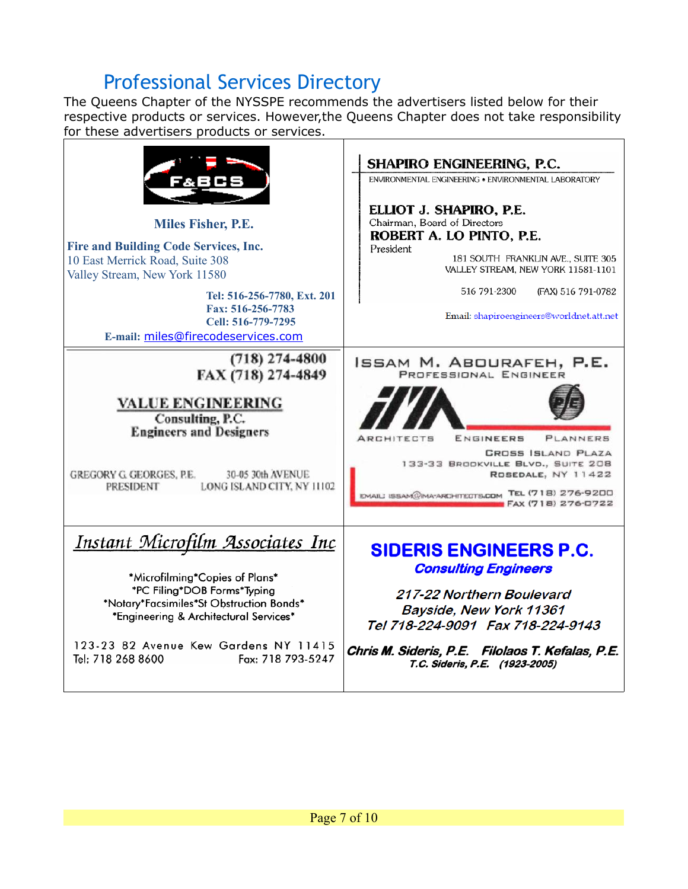## Professional Services Directory

The Queens Chapter of the NYSSPE recommends the advertisers listed below for their respective products or services. However,the Queens Chapter does not take responsibility for these advertisers products or services.

| Miles Fisher, P.E.<br><b>Fire and Building Code Services, Inc.</b><br>10 East Merrick Road, Suite 308<br>Valley Stream, New York 11580<br>Tel: 516-256-7780, Ext. 201<br>Fax: 516-256-7783<br>Cell: 516-779-7295<br>E-mail: miles@firecodeservices.com                             | SHAPIRO ENGINEERING, P.C.<br>ENVIRONMENTAL ENGINEERING . ENVIRONMENTAL LABORATORY<br>ELLIOT J. SHAPIRO, P.E.<br>Chairman, Board of Directors<br>ROBERT A. LO PINTO, P.E.<br>President<br>181 SOUTH FRANKLIN AVE., SUITE 305<br>VALLEY STREAM, NEW YORK 11581-1101<br>516 791-2300<br>(FAX) 516 791-0782<br>Email: shapiroengineers@worldnet.att.net |
|------------------------------------------------------------------------------------------------------------------------------------------------------------------------------------------------------------------------------------------------------------------------------------|-----------------------------------------------------------------------------------------------------------------------------------------------------------------------------------------------------------------------------------------------------------------------------------------------------------------------------------------------------|
| $(718)$ 274-4800<br>FAX (718) 274-4849<br><b>VALUE ENGINEERING</b><br>Consulting, P.C.<br><b>Engineers and Designers</b><br>30-05 30th AVENUE<br>GREGORY G GEORGES, P.E.<br>LONG ISLAND CITY, NY 11102<br><b>PRESIDENT</b>                                                         | ISSAM M. ABOURAFEH, P.E.<br>PROFESSIONAL ENGINEER<br>ENGINEERS<br><b>ARCHITECTS</b><br>PLANNERS<br><b>CROSS ISLAND PLAZA</b><br>133-33 BROOKVILLE BLVD., SUITE 208<br>ROSEDALE, NY 11422<br>EMAILI ISSAM@MA-ARCHITECTS.COM TEL (718) 276-9200<br>FAX (718) 276-0722                                                                                 |
| <u> Instant Microfilm Associates Inc</u><br>*Microfilming*Copies of Plans*<br>*PC Filing*DOB Forms*Typing<br>*Notary*Facsimiles*St Obstruction Bonds*<br>*Engineering & Architectural Services*<br>123-23 82 Avenue Kew Gardens NY 11415<br>Tel: 718 268 8600<br>Fax: 718 793-5247 | <b>SIDERIS ENGINEERS P.C.</b><br><b>Consulting Engineers</b><br>217-22 Northern Boulevard<br>Bayside, New York 11361<br>Tel 718-224-9091 Fax 718-224-9143<br>Chris M. Sideris, P.E. Filolaos T. Kefalas, P.E.<br>T.C. Sideris, P.E. (1923-2005)                                                                                                     |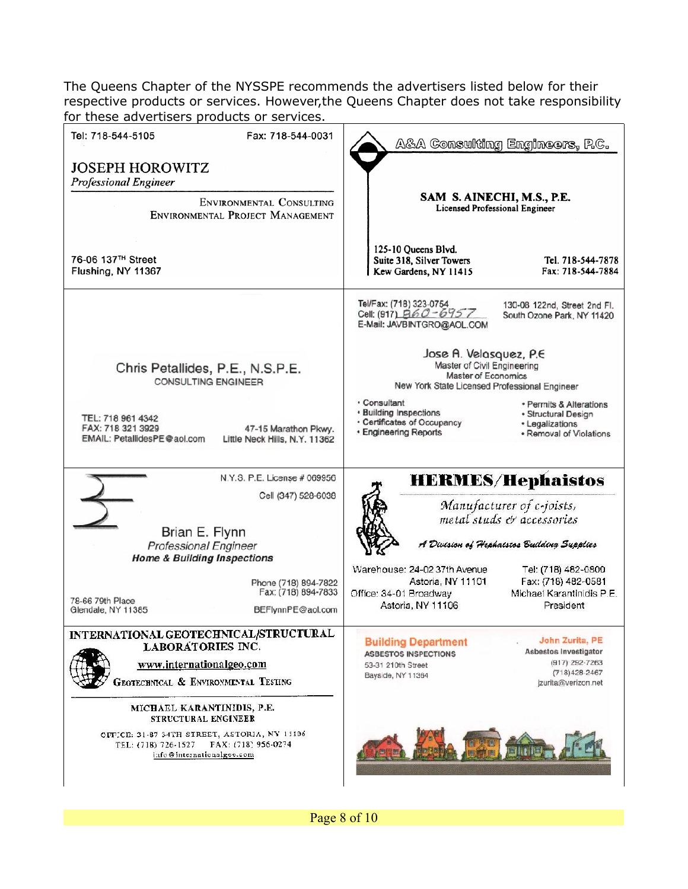The Queens Chapter of the NYSSPE recommends the advertisers listed below for their respective products or services. However,the Queens Chapter does not take responsibility for these advertisers products or services.

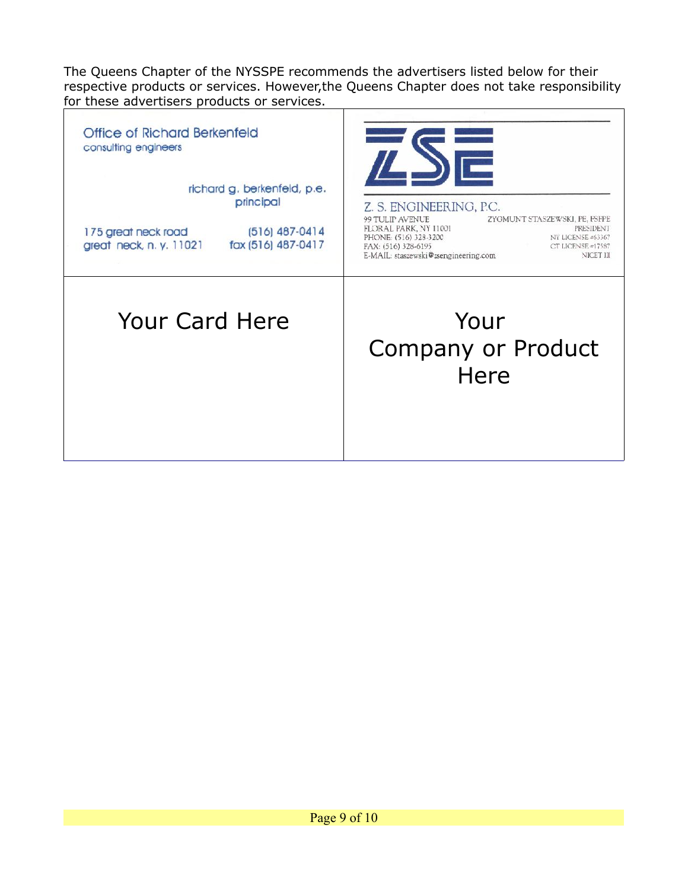The Queens Chapter of the NYSSPE recommends the advertisers listed below for their respective products or services. However,the Queens Chapter does not take responsibility for these advertisers products or services.